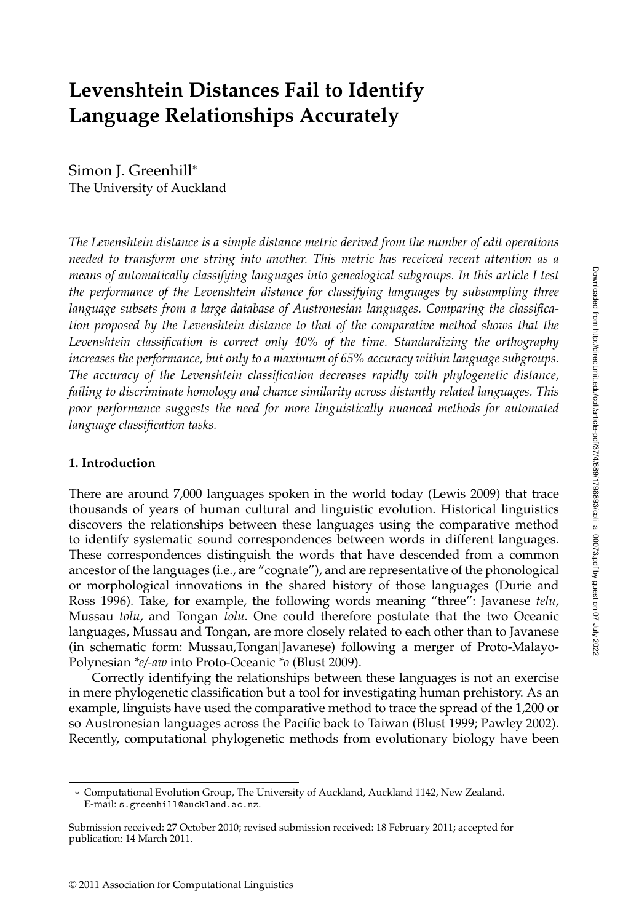# **Levenshtein Distances Fail to Identify Language Relationships Accurately**

Simon J. Greenhill<sup>∗</sup> The University of Auckland

*The Levenshtein distance is a simple distance metric derived from the number of edit operations needed to transform one string into another. This metric has received recent attention as a means of automatically classifying languages into genealogical subgroups. In this article I test the performance of the Levenshtein distance for classifying languages by subsampling three language subsets from a large database of Austronesian languages. Comparing the classification proposed by the Levenshtein distance to that of the comparative method shows that the Levenshtein classification is correct only 40% of the time. Standardizing the orthography increases the performance, but only to a maximum of 65% accuracy within language subgroups. The accuracy of the Levenshtein classification decreases rapidly with phylogenetic distance, failing to discriminate homology and chance similarity across distantly related languages. This poor performance suggests the need for more linguistically nuanced methods for automated language classification tasks.*

#### **1. Introduction**

There are around 7,000 languages spoken in the world today (Lewis 2009) that trace thousands of years of human cultural and linguistic evolution. Historical linguistics discovers the relationships between these languages using the comparative method to identify systematic sound correspondences between words in different languages. These correspondences distinguish the words that have descended from a common ancestor of the languages (i.e., are "cognate"), and are representative of the phonological or morphological innovations in the shared history of those languages (Durie and Ross 1996). Take, for example, the following words meaning "three": Javanese *telu*, Mussau *tolu*, and Tongan *tolu*. One could therefore postulate that the two Oceanic languages, Mussau and Tongan, are more closely related to each other than to Javanese (in schematic form: Mussau,Tongan|Javanese) following a merger of Proto-Malayo-Polynesian *\*e/-aw* into Proto-Oceanic *\*o* (Blust 2009).

Correctly identifying the relationships between these languages is not an exercise in mere phylogenetic classification but a tool for investigating human prehistory. As an example, linguists have used the comparative method to trace the spread of the 1,200 or so Austronesian languages across the Pacific back to Taiwan (Blust 1999; Pawley 2002). Recently, computational phylogenetic methods from evolutionary biology have been

<sup>∗</sup> Computational Evolution Group, The University of Auckland, Auckland 1142, New Zealand. E-mail: s.greenhill@auckland.ac.nz.

Submission received: 27 October 2010; revised submission received: 18 February 2011; accepted for publication: 14 March 2011.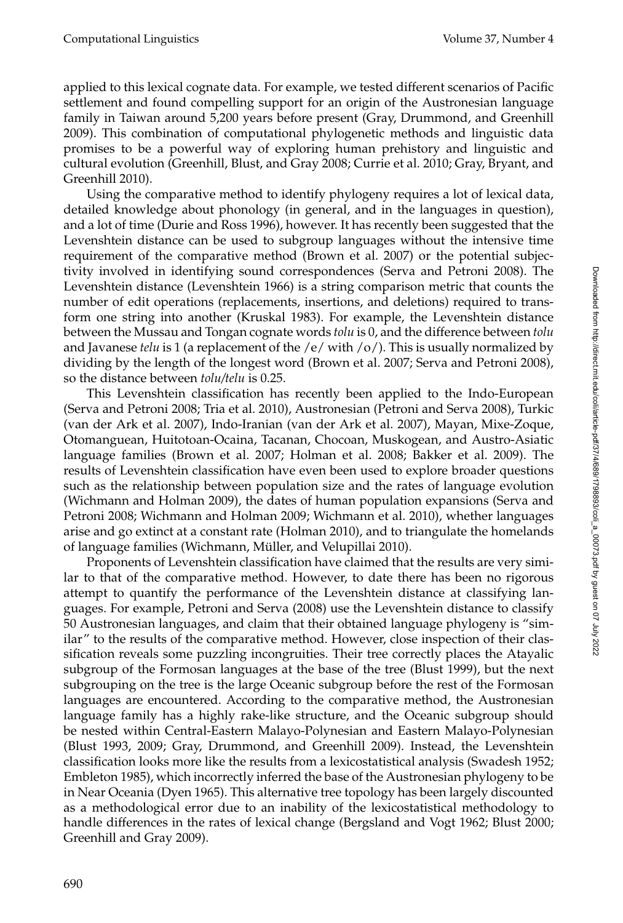applied to this lexical cognate data. For example, we tested different scenarios of Pacific settlement and found compelling support for an origin of the Austronesian language family in Taiwan around 5,200 years before present (Gray, Drummond, and Greenhill 2009). This combination of computational phylogenetic methods and linguistic data promises to be a powerful way of exploring human prehistory and linguistic and cultural evolution (Greenhill, Blust, and Gray 2008; Currie et al. 2010; Gray, Bryant, and Greenhill 2010).

Using the comparative method to identify phylogeny requires a lot of lexical data, detailed knowledge about phonology (in general, and in the languages in question), and a lot of time (Durie and Ross 1996), however. It has recently been suggested that the Levenshtein distance can be used to subgroup languages without the intensive time requirement of the comparative method (Brown et al. 2007) or the potential subjectivity involved in identifying sound correspondences (Serva and Petroni 2008). The Levenshtein distance (Levenshtein 1966) is a string comparison metric that counts the number of edit operations (replacements, insertions, and deletions) required to transform one string into another (Kruskal 1983). For example, the Levenshtein distance between the Mussau and Tongan cognate words *tolu* is 0, and the difference between *tolu* and Javanese *telu* is 1 (a replacement of the  $/e$  / with  $/o$ ). This is usually normalized by dividing by the length of the longest word (Brown et al. 2007; Serva and Petroni 2008), so the distance between *tolu/telu* is 0.25.

This Levenshtein classification has recently been applied to the Indo-European (Serva and Petroni 2008; Tria et al. 2010), Austronesian (Petroni and Serva 2008), Turkic (van der Ark et al. 2007), Indo-Iranian (van der Ark et al. 2007), Mayan, Mixe-Zoque, Otomanguean, Huitotoan-Ocaina, Tacanan, Chocoan, Muskogean, and Austro-Asiatic language families (Brown et al. 2007; Holman et al. 2008; Bakker et al. 2009). The results of Levenshtein classification have even been used to explore broader questions such as the relationship between population size and the rates of language evolution (Wichmann and Holman 2009), the dates of human population expansions (Serva and Petroni 2008; Wichmann and Holman 2009; Wichmann et al. 2010), whether languages arise and go extinct at a constant rate (Holman 2010), and to triangulate the homelands of language families (Wichmann, Muller, and Velupillai 2010). ¨

Proponents of Levenshtein classification have claimed that the results are very similar to that of the comparative method. However, to date there has been no rigorous attempt to quantify the performance of the Levenshtein distance at classifying languages. For example, Petroni and Serva (2008) use the Levenshtein distance to classify 50 Austronesian languages, and claim that their obtained language phylogeny is "similar" to the results of the comparative method. However, close inspection of their classification reveals some puzzling incongruities. Their tree correctly places the Atayalic subgroup of the Formosan languages at the base of the tree (Blust 1999), but the next subgrouping on the tree is the large Oceanic subgroup before the rest of the Formosan languages are encountered. According to the comparative method, the Austronesian language family has a highly rake-like structure, and the Oceanic subgroup should be nested within Central-Eastern Malayo-Polynesian and Eastern Malayo-Polynesian (Blust 1993, 2009; Gray, Drummond, and Greenhill 2009). Instead, the Levenshtein classification looks more like the results from a lexicostatistical analysis (Swadesh 1952; Embleton 1985), which incorrectly inferred the base of the Austronesian phylogeny to be in Near Oceania (Dyen 1965). This alternative tree topology has been largely discounted as a methodological error due to an inability of the lexicostatistical methodology to handle differences in the rates of lexical change (Bergsland and Vogt 1962; Blust 2000; Greenhill and Gray 2009).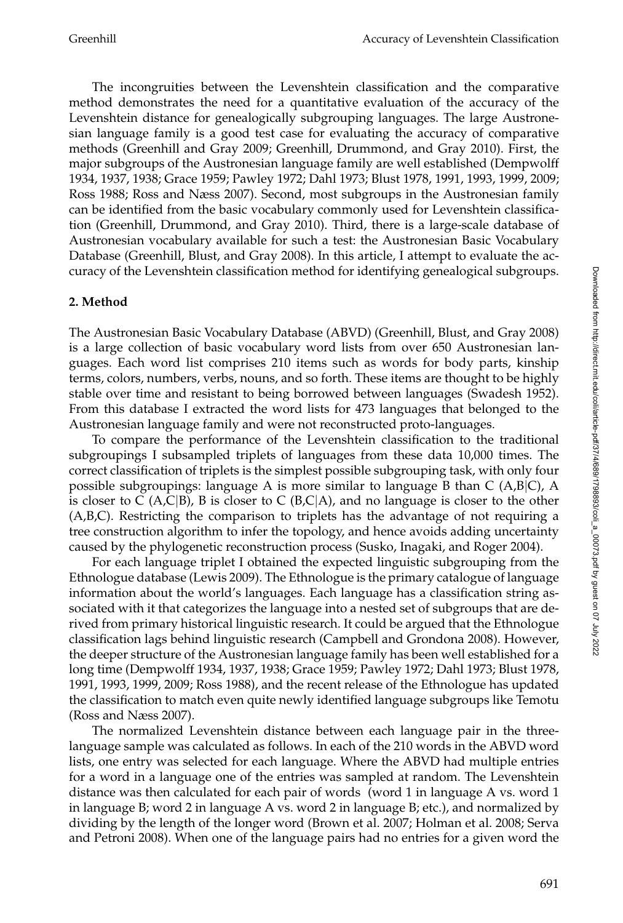The incongruities between the Levenshtein classification and the comparative method demonstrates the need for a quantitative evaluation of the accuracy of the Levenshtein distance for genealogically subgrouping languages. The large Austronesian language family is a good test case for evaluating the accuracy of comparative methods (Greenhill and Gray 2009; Greenhill, Drummond, and Gray 2010). First, the major subgroups of the Austronesian language family are well established (Dempwolff 1934, 1937, 1938; Grace 1959; Pawley 1972; Dahl 1973; Blust 1978, 1991, 1993, 1999, 2009; Ross 1988; Ross and Næss 2007). Second, most subgroups in the Austronesian family can be identified from the basic vocabulary commonly used for Levenshtein classification (Greenhill, Drummond, and Gray 2010). Third, there is a large-scale database of Austronesian vocabulary available for such a test: the Austronesian Basic Vocabulary Database (Greenhill, Blust, and Gray 2008). In this article, I attempt to evaluate the accuracy of the Levenshtein classification method for identifying genealogical subgroups.

## **2. Method**

The Austronesian Basic Vocabulary Database (ABVD) (Greenhill, Blust, and Gray 2008) is a large collection of basic vocabulary word lists from over 650 Austronesian languages. Each word list comprises 210 items such as words for body parts, kinship terms, colors, numbers, verbs, nouns, and so forth. These items are thought to be highly stable over time and resistant to being borrowed between languages (Swadesh 1952). From this database I extracted the word lists for 473 languages that belonged to the Austronesian language family and were not reconstructed proto-languages.

To compare the performance of the Levenshtein classification to the traditional subgroupings I subsampled triplets of languages from these data 10,000 times. The correct classification of triplets is the simplest possible subgrouping task, with only four possible subgroupings: language A is more similar to language B than C ( $A,B|C$ ), A is closer to C (A,C|B), B is closer to C (B,C|A), and no language is closer to the other (A,B,C). Restricting the comparison to triplets has the advantage of not requiring a tree construction algorithm to infer the topology, and hence avoids adding uncertainty caused by the phylogenetic reconstruction process (Susko, Inagaki, and Roger 2004).

For each language triplet I obtained the expected linguistic subgrouping from the Ethnologue database (Lewis 2009). The Ethnologue is the primary catalogue of language information about the world's languages. Each language has a classification string associated with it that categorizes the language into a nested set of subgroups that are derived from primary historical linguistic research. It could be argued that the Ethnologue classification lags behind linguistic research (Campbell and Grondona 2008). However, the deeper structure of the Austronesian language family has been well established for a long time (Dempwolff 1934, 1937, 1938; Grace 1959; Pawley 1972; Dahl 1973; Blust 1978, 1991, 1993, 1999, 2009; Ross 1988), and the recent release of the Ethnologue has updated the classification to match even quite newly identified language subgroups like Temotu (Ross and Næss 2007).

The normalized Levenshtein distance between each language pair in the threelanguage sample was calculated as follows. In each of the 210 words in the ABVD word lists, one entry was selected for each language. Where the ABVD had multiple entries for a word in a language one of the entries was sampled at random. The Levenshtein distance was then calculated for each pair of words (word 1 in language A vs. word 1 in language B; word 2 in language A vs. word 2 in language B; etc.), and normalized by dividing by the length of the longer word (Brown et al. 2007; Holman et al. 2008; Serva and Petroni 2008). When one of the language pairs had no entries for a given word the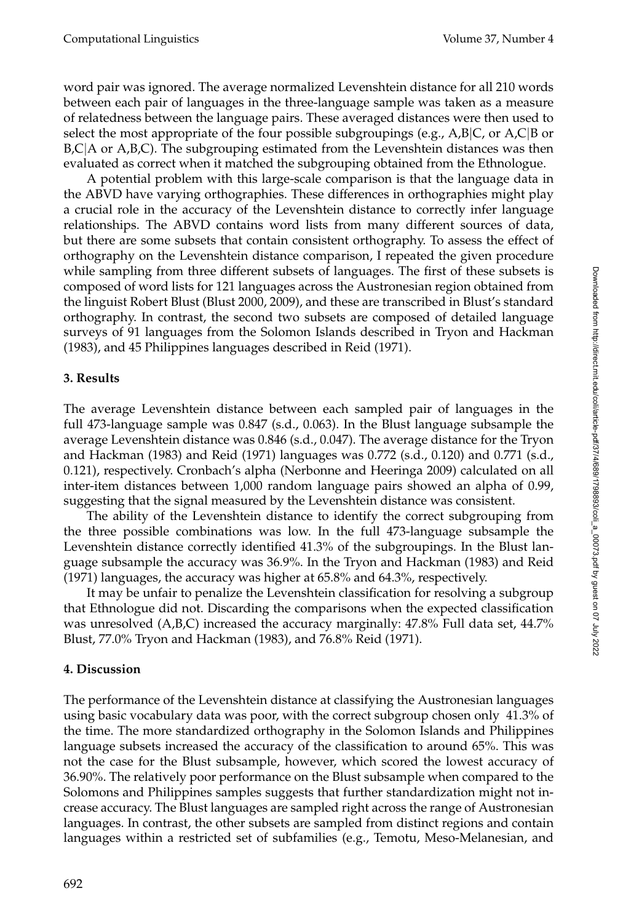word pair was ignored. The average normalized Levenshtein distance for all 210 words between each pair of languages in the three-language sample was taken as a measure of relatedness between the language pairs. These averaged distances were then used to select the most appropriate of the four possible subgroupings (e.g., A,B|C, or A,C|B or B,C|A or A,B,C). The subgrouping estimated from the Levenshtein distances was then evaluated as correct when it matched the subgrouping obtained from the Ethnologue.

A potential problem with this large-scale comparison is that the language data in the ABVD have varying orthographies. These differences in orthographies might play a crucial role in the accuracy of the Levenshtein distance to correctly infer language relationships. The ABVD contains word lists from many different sources of data, but there are some subsets that contain consistent orthography. To assess the effect of orthography on the Levenshtein distance comparison, I repeated the given procedure while sampling from three different subsets of languages. The first of these subsets is composed of word lists for 121 languages across the Austronesian region obtained from the linguist Robert Blust (Blust 2000, 2009), and these are transcribed in Blust's standard orthography. In contrast, the second two subsets are composed of detailed language surveys of 91 languages from the Solomon Islands described in Tryon and Hackman (1983), and 45 Philippines languages described in Reid (1971).

## **3. Results**

The average Levenshtein distance between each sampled pair of languages in the full 473-language sample was 0.847 (s.d., 0.063). In the Blust language subsample the average Levenshtein distance was 0.846 (s.d., 0.047). The average distance for the Tryon and Hackman (1983) and Reid (1971) languages was 0.772 (s.d., 0.120) and 0.771 (s.d., 0.121), respectively. Cronbach's alpha (Nerbonne and Heeringa 2009) calculated on all inter-item distances between 1,000 random language pairs showed an alpha of 0.99, suggesting that the signal measured by the Levenshtein distance was consistent.

The ability of the Levenshtein distance to identify the correct subgrouping from the three possible combinations was low. In the full 473-language subsample the Levenshtein distance correctly identified 41.3% of the subgroupings. In the Blust language subsample the accuracy was 36.9%. In the Tryon and Hackman (1983) and Reid (1971) languages, the accuracy was higher at 65.8% and 64.3%, respectively.

It may be unfair to penalize the Levenshtein classification for resolving a subgroup that Ethnologue did not. Discarding the comparisons when the expected classification was unresolved (A,B,C) increased the accuracy marginally: 47.8% Full data set, 44.7% Blust, 77.0% Tryon and Hackman (1983), and 76.8% Reid (1971).

# **4. Discussion**

The performance of the Levenshtein distance at classifying the Austronesian languages using basic vocabulary data was poor, with the correct subgroup chosen only 41.3% of the time. The more standardized orthography in the Solomon Islands and Philippines language subsets increased the accuracy of the classification to around 65%. This was not the case for the Blust subsample, however, which scored the lowest accuracy of 36.90%. The relatively poor performance on the Blust subsample when compared to the Solomons and Philippines samples suggests that further standardization might not increase accuracy. The Blust languages are sampled right across the range of Austronesian languages. In contrast, the other subsets are sampled from distinct regions and contain languages within a restricted set of subfamilies (e.g., Temotu, Meso-Melanesian, and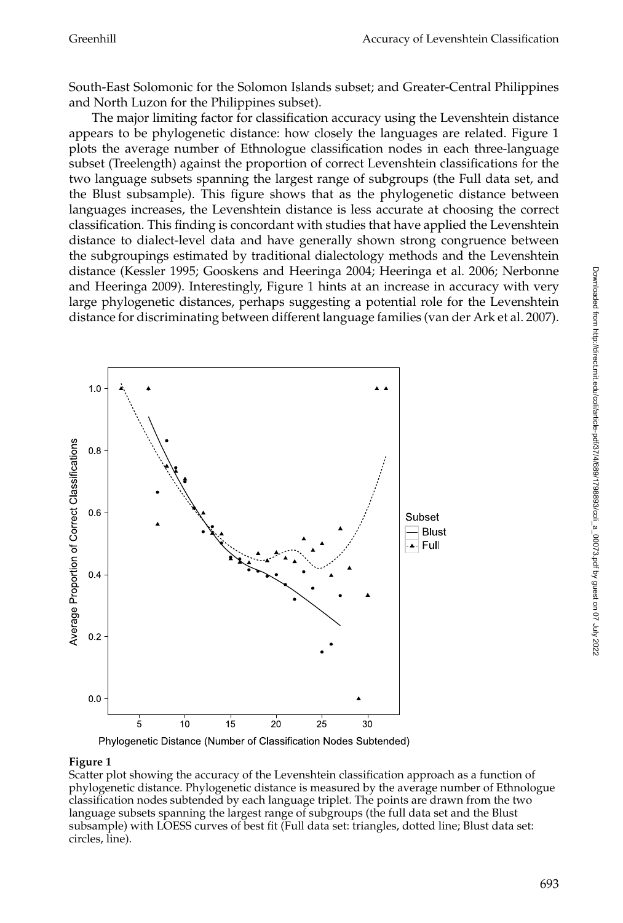South-East Solomonic for the Solomon Islands subset; and Greater-Central Philippines and North Luzon for the Philippines subset).

The major limiting factor for classification accuracy using the Levenshtein distance appears to be phylogenetic distance: how closely the languages are related. Figure 1 plots the average number of Ethnologue classification nodes in each three-language subset (Treelength) against the proportion of correct Levenshtein classifications for the two language subsets spanning the largest range of subgroups (the Full data set, and the Blust subsample). This figure shows that as the phylogenetic distance between languages increases, the Levenshtein distance is less accurate at choosing the correct classification. This finding is concordant with studies that have applied the Levenshtein distance to dialect-level data and have generally shown strong congruence between the subgroupings estimated by traditional dialectology methods and the Levenshtein distance (Kessler 1995; Gooskens and Heeringa 2004; Heeringa et al. 2006; Nerbonne and Heeringa 2009). Interestingly, Figure 1 hints at an increase in accuracy with very large phylogenetic distances, perhaps suggesting a potential role for the Levenshtein distance for discriminating between different language families (van der Ark et al. 2007).





#### **Figure 1**

Scatter plot showing the accuracy of the Levenshtein classification approach as a function of phylogenetic distance. Phylogenetic distance is measured by the average number of Ethnologue classification nodes subtended by each language triplet. The points are drawn from the two language subsets spanning the largest range of subgroups (the full data set and the Blust subsample) with LOESS curves of best fit (Full data set: triangles, dotted line; Blust data set: circles, line).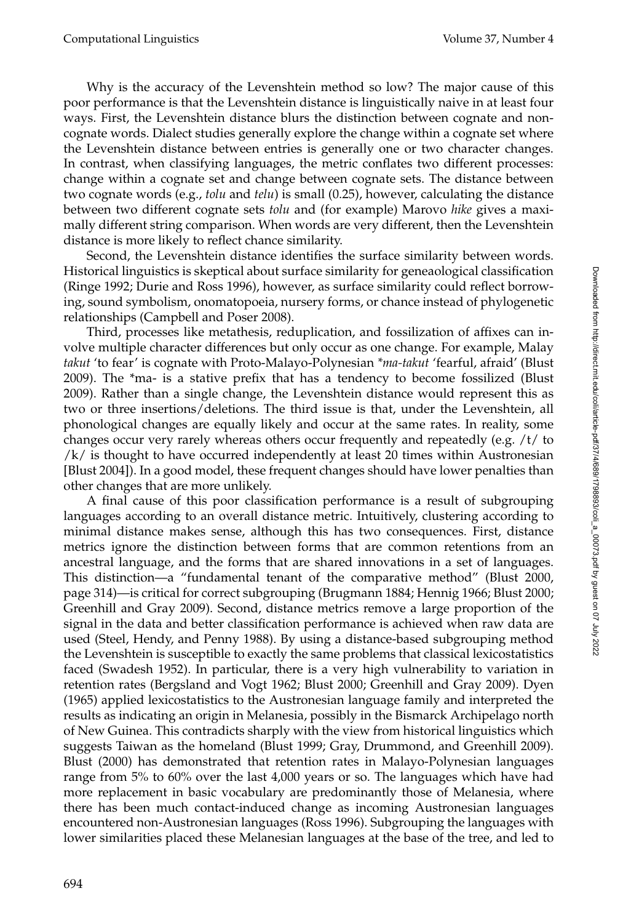Why is the accuracy of the Levenshtein method so low? The major cause of this poor performance is that the Levenshtein distance is linguistically naive in at least four ways. First, the Levenshtein distance blurs the distinction between cognate and noncognate words. Dialect studies generally explore the change within a cognate set where the Levenshtein distance between entries is generally one or two character changes. In contrast, when classifying languages, the metric conflates two different processes: change within a cognate set and change between cognate sets. The distance between two cognate words (e.g., *tolu* and *telu*) is small (0.25), however, calculating the distance between two different cognate sets *tolu* and (for example) Marovo *hike* gives a maximally different string comparison. When words are very different, then the Levenshtein distance is more likely to reflect chance similarity.

Second, the Levenshtein distance identifies the surface similarity between words. Historical linguistics is skeptical about surface similarity for geneaological classification (Ringe 1992; Durie and Ross 1996), however, as surface similarity could reflect borrowing, sound symbolism, onomatopoeia, nursery forms, or chance instead of phylogenetic relationships (Campbell and Poser 2008).

Third, processes like metathesis, reduplication, and fossilization of affixes can involve multiple character differences but only occur as one change. For example, Malay *takut* 'to fear' is cognate with Proto-Malayo-Polynesian *\*ma-takut* 'fearful, afraid' (Blust 2009). The \*ma- is a stative prefix that has a tendency to become fossilized (Blust 2009). Rather than a single change, the Levenshtein distance would represent this as two or three insertions/deletions. The third issue is that, under the Levenshtein, all phonological changes are equally likely and occur at the same rates. In reality, some changes occur very rarely whereas others occur frequently and repeatedly (e.g. /t/ to /k/ is thought to have occurred independently at least 20 times within Austronesian [Blust 2004]). In a good model, these frequent changes should have lower penalties than other changes that are more unlikely.

A final cause of this poor classification performance is a result of subgrouping languages according to an overall distance metric. Intuitively, clustering according to minimal distance makes sense, although this has two consequences. First, distance metrics ignore the distinction between forms that are common retentions from an ancestral language, and the forms that are shared innovations in a set of languages. This distinction—a "fundamental tenant of the comparative method" (Blust 2000, page 314)—is critical for correct subgrouping (Brugmann 1884; Hennig 1966; Blust 2000; Greenhill and Gray 2009). Second, distance metrics remove a large proportion of the signal in the data and better classification performance is achieved when raw data are used (Steel, Hendy, and Penny 1988). By using a distance-based subgrouping method the Levenshtein is susceptible to exactly the same problems that classical lexicostatistics faced (Swadesh 1952). In particular, there is a very high vulnerability to variation in retention rates (Bergsland and Vogt 1962; Blust 2000; Greenhill and Gray 2009). Dyen (1965) applied lexicostatistics to the Austronesian language family and interpreted the results as indicating an origin in Melanesia, possibly in the Bismarck Archipelago north of New Guinea. This contradicts sharply with the view from historical linguistics which suggests Taiwan as the homeland (Blust 1999; Gray, Drummond, and Greenhill 2009). Blust (2000) has demonstrated that retention rates in Malayo-Polynesian languages range from 5% to 60% over the last 4,000 years or so. The languages which have had more replacement in basic vocabulary are predominantly those of Melanesia, where there has been much contact-induced change as incoming Austronesian languages encountered non-Austronesian languages (Ross 1996). Subgrouping the languages with lower similarities placed these Melanesian languages at the base of the tree, and led to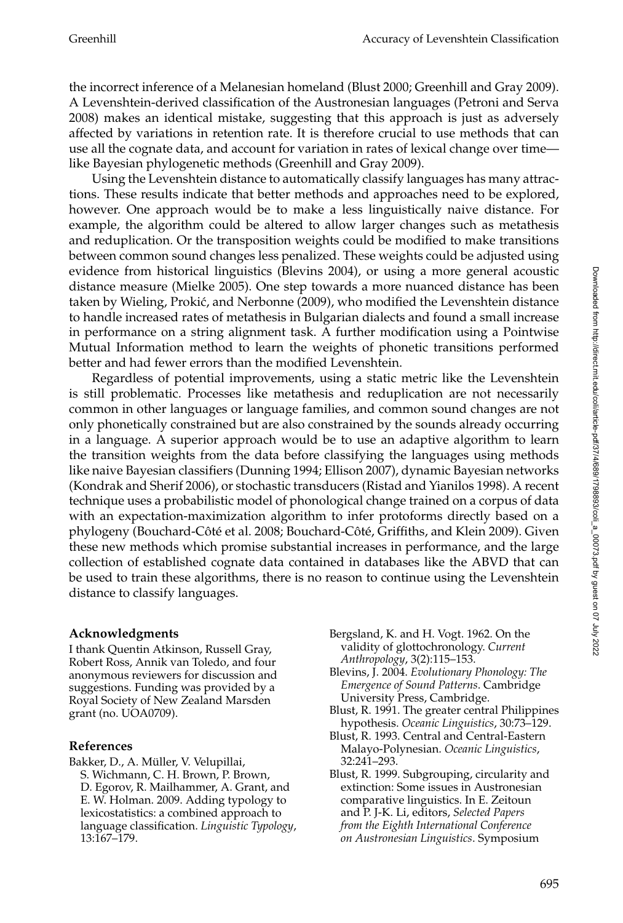the incorrect inference of a Melanesian homeland (Blust 2000; Greenhill and Gray 2009). A Levenshtein-derived classification of the Austronesian languages (Petroni and Serva 2008) makes an identical mistake, suggesting that this approach is just as adversely affected by variations in retention rate. It is therefore crucial to use methods that can use all the cognate data, and account for variation in rates of lexical change over time like Bayesian phylogenetic methods (Greenhill and Gray 2009).

Using the Levenshtein distance to automatically classify languages has many attractions. These results indicate that better methods and approaches need to be explored, however. One approach would be to make a less linguistically naive distance. For example, the algorithm could be altered to allow larger changes such as metathesis and reduplication. Or the transposition weights could be modified to make transitions between common sound changes less penalized. These weights could be adjusted using evidence from historical linguistics (Blevins 2004), or using a more general acoustic distance measure (Mielke 2005). One step towards a more nuanced distance has been taken by Wieling, Prokic, and Nerbonne (2009), who modified the Levenshtein distance ´ to handle increased rates of metathesis in Bulgarian dialects and found a small increase in performance on a string alignment task. A further modification using a Pointwise Mutual Information method to learn the weights of phonetic transitions performed better and had fewer errors than the modified Levenshtein.

Regardless of potential improvements, using a static metric like the Levenshtein is still problematic. Processes like metathesis and reduplication are not necessarily common in other languages or language families, and common sound changes are not only phonetically constrained but are also constrained by the sounds already occurring in a language. A superior approach would be to use an adaptive algorithm to learn the transition weights from the data before classifying the languages using methods like naive Bayesian classifiers (Dunning 1994; Ellison 2007), dynamic Bayesian networks (Kondrak and Sherif 2006), or stochastic transducers (Ristad and Yianilos 1998). A recent technique uses a probabilistic model of phonological change trained on a corpus of data with an expectation-maximization algorithm to infer protoforms directly based on a phylogeny (Bouchard-Côté et al. 2008; Bouchard-Côté, Griffiths, and Klein 2009). Given these new methods which promise substantial increases in performance, and the large collection of established cognate data contained in databases like the ABVD that can be used to train these algorithms, there is no reason to continue using the Levenshtein distance to classify languages.

## **Acknowledgments**

I thank Quentin Atkinson, Russell Gray, Robert Ross, Annik van Toledo, and four anonymous reviewers for discussion and suggestions. Funding was provided by a Royal Society of New Zealand Marsden grant (no. UOA0709).

# **References**

Bakker, D., A. Müller, V. Velupillai, S. Wichmann, C. H. Brown, P. Brown, D. Egorov, R. Mailhammer, A. Grant, and E. W. Holman. 2009. Adding typology to lexicostatistics: a combined approach to language classification. *Linguistic Typology*, 13:167–179.

- Bergsland, K. and H. Vogt. 1962. On the validity of glottochronology. *Current Anthropology*, 3(2):115–153.
- Blevins, J. 2004. *Evolutionary Phonology: The Emergence of Sound Patterns*. Cambridge University Press, Cambridge.
- Blust, R. 1991. The greater central Philippines hypothesis. *Oceanic Linguistics*, 30:73–129.
- Blust, R. 1993. Central and Central-Eastern Malayo-Polynesian. *Oceanic Linguistics*, 32:241–293.
- Blust, R. 1999. Subgrouping, circularity and extinction: Some issues in Austronesian comparative linguistics. In E. Zeitoun and P. J-K. Li, editors, *Selected Papers from the Eighth International Conference on Austronesian Linguistics*. Symposium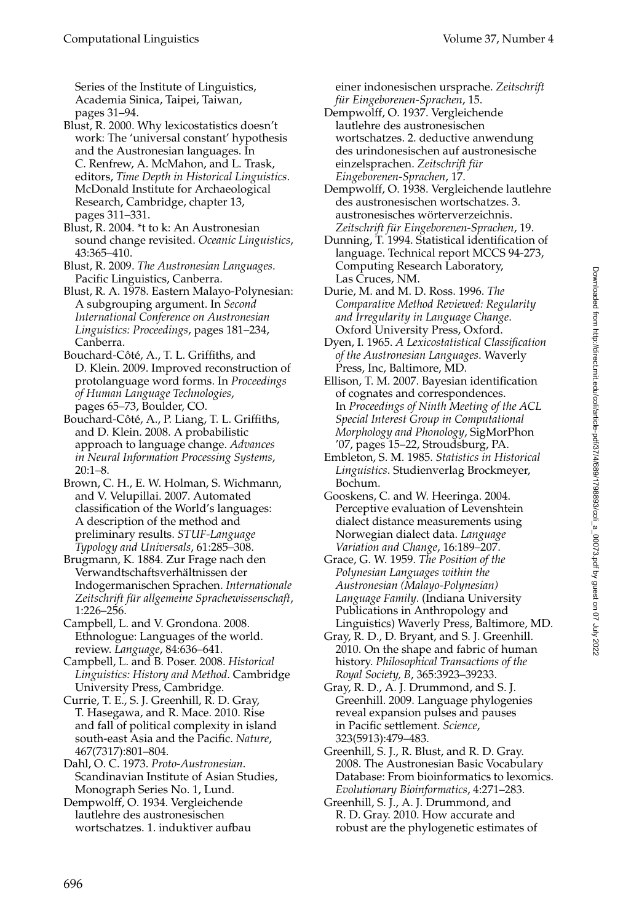Series of the Institute of Linguistics, Academia Sinica, Taipei, Taiwan, pages 31–94.

- Blust, R. 2000. Why lexicostatistics doesn't work: The 'universal constant' hypothesis and the Austronesian languages. In C. Renfrew, A. McMahon, and L. Trask, editors, *Time Depth in Historical Linguistics*. McDonald Institute for Archaeological Research, Cambridge, chapter 13, pages 311–331.
- Blust, R. 2004. \*t to k: An Austronesian sound change revisited. *Oceanic Linguistics*, 43:365–410.
- Blust, R. 2009. *The Austronesian Languages*. Pacific Linguistics, Canberra.
- Blust, R. A. 1978. Eastern Malayo-Polynesian: A subgrouping argument. In *Second International Conference on Austronesian Linguistics: Proceedings*, pages 181–234, Canberra.
- Bouchard-Côté, A., T. L. Griffiths, and D. Klein. 2009. Improved reconstruction of protolanguage word forms. In *Proceedings of Human Language Technologies*, pages 65–73, Boulder, CO.
- Bouchard-Côté, A., P. Liang, T. L. Griffiths, and D. Klein. 2008. A probabilistic approach to language change. *Advances in Neural Information Processing Systems*, 20:1–8.
- Brown, C. H., E. W. Holman, S. Wichmann, and V. Velupillai. 2007. Automated classification of the World's languages: A description of the method and preliminary results. *STUF-Language Typology and Universals*, 61:285–308.
- Brugmann, K. 1884. Zur Frage nach den Verwandtschaftsverhaltnissen der ¨ Indogermanischen Sprachen. *Internationale* Zeitschrift für allgemeine Sprachewissenschaft, 1:226–256.
- Campbell, L. and V. Grondona. 2008. Ethnologue: Languages of the world. review. *Language*, 84:636–641.
- Campbell, L. and B. Poser. 2008. *Historical Linguistics: History and Method*. Cambridge University Press, Cambridge.
- Currie, T. E., S. J. Greenhill, R. D. Gray, T. Hasegawa, and R. Mace. 2010. Rise and fall of political complexity in island south-east Asia and the Pacific. *Nature*, 467(7317):801–804.
- Dahl, O. C. 1973. *Proto-Austronesian*. Scandinavian Institute of Asian Studies, Monograph Series No. 1, Lund.
- Dempwolff, O. 1934. Vergleichende lautlehre des austronesischen wortschatzes. 1. induktiver aufbau

einer indonesischen ursprache. *Zeitschrift f ¨ur Eingeborenen-Sprachen*, 15.

- Dempwolff, O. 1937. Vergleichende lautlehre des austronesischen wortschatzes. 2. deductive anwendung des urindonesischen auf austronesische einzelsprachen. Zeitschrift für *Eingeborenen-Sprachen*, 17.
- Dempwolff, O. 1938. Vergleichende lautlehre des austronesischen wortschatzes. 3. austronesisches wörterverzeichnis. *Zeitschrift f ¨ur Eingeborenen-Sprachen*, 19.
- Dunning, T. 1994. Statistical identification of language. Technical report MCCS 94-273, Computing Research Laboratory, Las Cruces, NM.
- Durie, M. and M. D. Ross. 1996. *The Comparative Method Reviewed: Regularity and Irregularity in Language Change*. Oxford University Press, Oxford.
- Dyen, I. 1965. *A Lexicostatistical Classification of the Austronesian Languages*. Waverly Press, Inc, Baltimore, MD.
- Ellison, T. M. 2007. Bayesian identification of cognates and correspondences. In *Proceedings of Ninth Meeting of the ACL Special Interest Group in Computational Morphology and Phonology*, SigMorPhon '07, pages 15–22, Stroudsburg, PA.
- Embleton, S. M. 1985. *Statistics in Historical Linguistics*. Studienverlag Brockmeyer, Bochum.
- Gooskens, C. and W. Heeringa. 2004. Perceptive evaluation of Levenshtein dialect distance measurements using Norwegian dialect data. *Language Variation and Change*, 16:189–207.
- Grace, G. W. 1959. *The Position of the Polynesian Languages within the Austronesian (Malayo-Polynesian) Language Family*. (Indiana University Publications in Anthropology and Linguistics) Waverly Press, Baltimore, MD.
- Gray, R. D., D. Bryant, and S. J. Greenhill. 2010. On the shape and fabric of human history. *Philosophical Transactions of the Royal Society, B*, 365:3923–39233.
- Gray, R. D., A. J. Drummond, and S. J. Greenhill. 2009. Language phylogenies reveal expansion pulses and pauses in Pacific settlement. *Science*, 323(5913):479–483.
- Greenhill, S. J., R. Blust, and R. D. Gray. 2008. The Austronesian Basic Vocabulary Database: From bioinformatics to lexomics. *Evolutionary Bioinformatics*, 4:271–283.
- Greenhill, S. J., A. J. Drummond, and R. D. Gray. 2010. How accurate and robust are the phylogenetic estimates of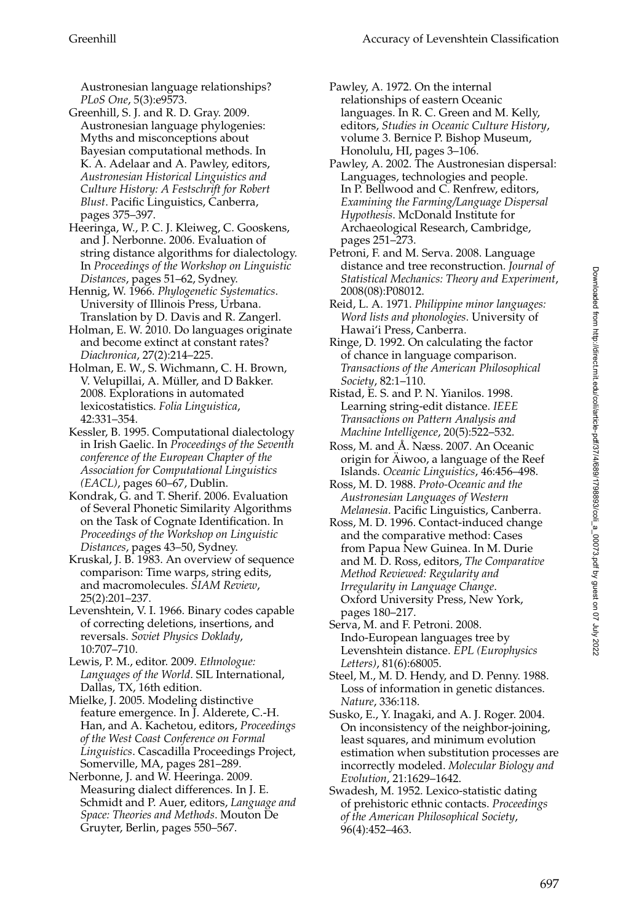Austronesian language relationships? *PLoS One*, 5(3):e9573.

- Greenhill, S. J. and R. D. Gray. 2009. Austronesian language phylogenies: Myths and misconceptions about Bayesian computational methods. In K. A. Adelaar and A. Pawley, editors, *Austronesian Historical Linguistics and Culture History: A Festschrift for Robert Blust*. Pacific Linguistics, Canberra, pages 375–397.
- Heeringa, W., P. C. J. Kleiweg, C. Gooskens, and J. Nerbonne. 2006. Evaluation of string distance algorithms for dialectology. In *Proceedings of the Workshop on Linguistic Distances*, pages 51–62, Sydney.
- Hennig, W. 1966. *Phylogenetic Systematics*. University of Illinois Press, Urbana. Translation by D. Davis and R. Zangerl.
- Holman, E. W. 2010. Do languages originate and become extinct at constant rates? *Diachronica*, 27(2):214–225.
- Holman, E. W., S. Wichmann, C. H. Brown, V. Velupillai, A. Müller, and D Bakker. 2008. Explorations in automated lexicostatistics. *Folia Linguistica*, 42:331–354.
- Kessler, B. 1995. Computational dialectology in Irish Gaelic. In *Proceedings of the Seventh conference of the European Chapter of the Association for Computational Linguistics (EACL)*, pages 60–67, Dublin.
- Kondrak, G. and T. Sherif. 2006. Evaluation of Several Phonetic Similarity Algorithms on the Task of Cognate Identification. In *Proceedings of the Workshop on Linguistic Distances*, pages 43–50, Sydney.
- Kruskal, J. B. 1983. An overview of sequence comparison: Time warps, string edits, and macromolecules. *SIAM Review*, 25(2):201–237.
- Levenshtein, V. I. 1966. Binary codes capable of correcting deletions, insertions, and reversals. *Soviet Physics Doklady*, 10:707–710.
- Lewis, P. M., editor. 2009. *Ethnologue: Languages of the World*. SIL International, Dallas, TX, 16th edition.
- Mielke, J. 2005. Modeling distinctive feature emergence. In J. Alderete, C.-H. Han, and A. Kachetou, editors, *Proceedings of the West Coast Conference on Formal Linguistics*. Cascadilla Proceedings Project, Somerville, MA, pages 281–289.
- Nerbonne, J. and W. Heeringa. 2009. Measuring dialect differences. In J. E. Schmidt and P. Auer, editors, *Language and Space: Theories and Methods*. Mouton De Gruyter, Berlin, pages 550–567.
- Pawley, A. 1972. On the internal relationships of eastern Oceanic languages. In R. C. Green and M. Kelly, editors, *Studies in Oceanic Culture History*, volume 3. Bernice P. Bishop Museum, Honolulu, HI, pages 3–106.
- Pawley, A. 2002. The Austronesian dispersal: Languages, technologies and people. In P. Bellwood and C. Renfrew, editors, *Examining the Farming/Language Dispersal Hypothesis*. McDonald Institute for Archaeological Research, Cambridge, pages 251–273.
- Petroni, F. and M. Serva. 2008. Language distance and tree reconstruction. *Journal of Statistical Mechanics: Theory and Experiment*, 2008(08):P08012.
- Reid, L. A. 1971. *Philippine minor languages: Word lists and phonologies*. University of Hawai'i Press, Canberra.
- Ringe, D. 1992. On calculating the factor of chance in language comparison. *Transactions of the American Philosophical Society*, 82:1–110.
- Ristad, E. S. and P. N. Yianilos. 1998. Learning string-edit distance. *IEEE Transactions on Pattern Analysis and Machine Intelligence*, 20(5):522–532.
- Ross, M. and Å. Næss. 2007. An Oceanic origin for Aiwoo, a language of the Reef ¨ Islands. *Oceanic Linguistics*, 46:456–498.
- Ross, M. D. 1988. *Proto-Oceanic and the Austronesian Languages of Western Melanesia*. Pacific Linguistics, Canberra.
- Ross, M. D. 1996. Contact-induced change and the comparative method: Cases from Papua New Guinea. In M. Durie and M. D. Ross, editors, *The Comparative Method Reviewed: Regularity and Irregularity in Language Change*. Oxford University Press, New York, pages 180–217.
- Serva, M. and F. Petroni. 2008. Indo-European languages tree by Levenshtein distance. *EPL (Europhysics Letters)*, 81(6):68005.
- Steel, M., M. D. Hendy, and D. Penny. 1988. Loss of information in genetic distances. *Nature*, 336:118.
- Susko, E., Y. Inagaki, and A. J. Roger. 2004. On inconsistency of the neighbor-joining, least squares, and minimum evolution estimation when substitution processes are incorrectly modeled. *Molecular Biology and Evolution*, 21:1629–1642.
- Swadesh, M. 1952. Lexico-statistic dating of prehistoric ethnic contacts. *Proceedings of the American Philosophical Society*, 96(4):452–463.